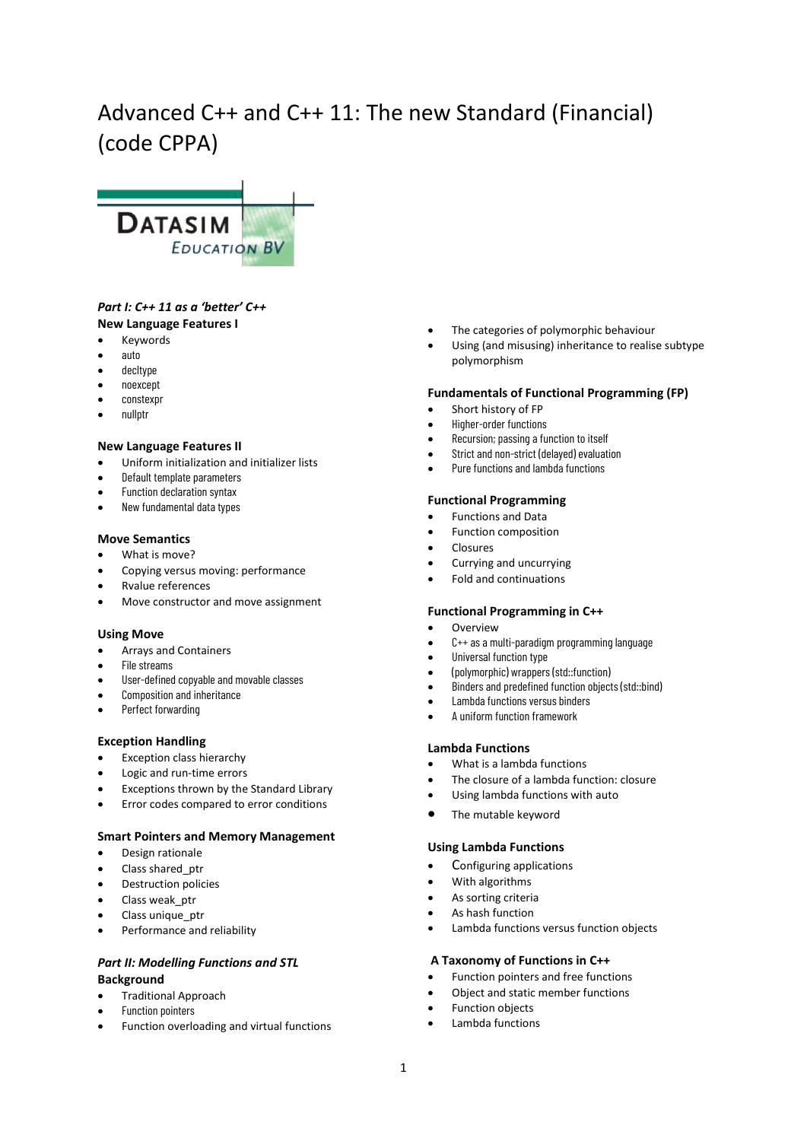# Advanced C++ and C++ 11: The new Standard (Financial) (code CPPA)



# *Part I: C++ 11 as a 'better' C++* **New Language Features I**

- Keywords
- auto
- decltype
- noexcept
- constexpr
- nullptr

## **New Language Features II**

- Uniform initialization and initializer lists
- Default template parameters
- Function declaration syntax
- New fundamental data types

# **Move Semantics**

- What is move?
- Copying versus moving: performance
- Rvalue references
- Move constructor and move assignment

## **Using Move**

- Arrays and Containers
- File streams
- User-defined copyable and movable classes
- Composition and inheritance
- Perfect forwarding

## **Exception Handling**

- Exception class hierarchy
- Logic and run-time errors
- Exceptions thrown by the Standard Library
- Error codes compared to error conditions

# **Smart Pointers and Memory Management**

- Design rationale
- Class shared ptr
- Destruction policies
- Class weak ptr
- Class unique ptr
- Performance and reliability

# *Part II: Modelling Functions and STL* **Background**

- Traditional Approach
- Function pointers
- Function overloading and virtual functions
- The categories of polymorphic behaviour
- Using (and misusing) inheritance to realise subtype polymorphism

## **Fundamentals of Functional Programming (FP)**

- Short history of FP
- Higher-order functions
- Recursion; passing a function to itself
- Strict and non-strict (delayed) evaluation
- Pure functions and lambda functions

#### **Functional Programming**

- Functions and Data
- Function composition
- **Closures**
- Currying and uncurrying
- Fold and continuations

## **Functional Programming in C++**

- **Overview**
- C++ as a multi-paradigm programming language
- Universal function type
- (polymorphic) wrappers (std::function)
- Binders and predefined function objects (std::bind)
- Lambda functions versus binders
- A uniform function framework

## **Lambda Functions**

- What is a lambda functions
- The closure of a lambda function: closure
- Using lambda functions with auto
- The mutable keyword

## **Using Lambda Functions**

- Configuring applications
- With algorithms
- As sorting criteria
- As hash function
- Lambda functions versus function objects

## **A Taxonomy of Functions in C++**

- Function pointers and free functions
- Object and static member functions
- Function objects
- Lambda functions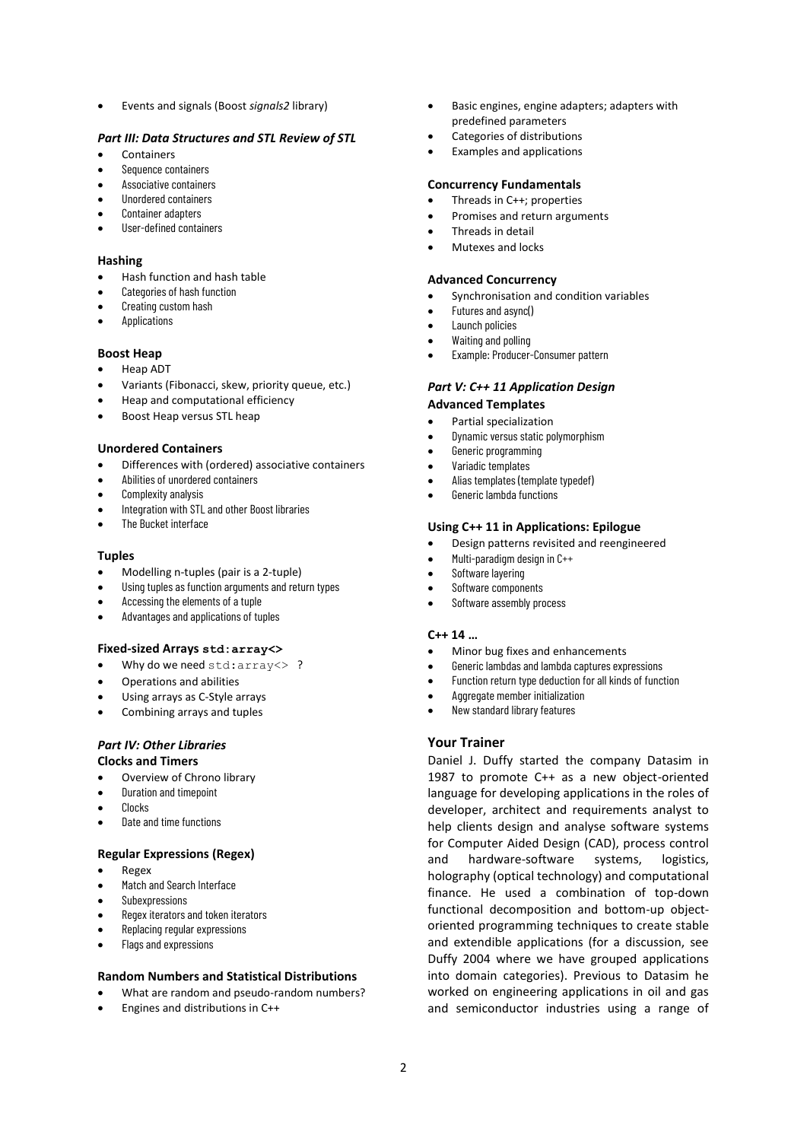• Events and signals (Boost *signals2* library)

# *Part III: Data Structures and STL Review of STL*

- **Containers**
- Sequence containers
- Associative containers
- Unordered containers
- Container adapters
- User-defined containers

# **Hashing**

- Hash function and hash table
- Categories of hash function
- Creating custom hash
- **Applications**

# **Boost Heap**

- Heap ADT
- Variants (Fibonacci, skew, priority queue, etc.)
- Heap and computational efficiency
- Boost Heap versus STL heap

# **Unordered Containers**

- Differences with (ordered) associative containers
- Abilities of unordered containers
- Complexity analysis
- Integration with STL and other Boost libraries
- The Bucket interface

## **Tuples**

- Modelling n-tuples (pair is a 2-tuple)
- Using tuples as function arguments and return types
- Accessing the elements of a tuple
- Advantages and applications of tuples

## **Fixed-sized Arrays std:array<>**

- Why do we need std:array <> ?
- Operations and abilities
- Using arrays as C-Style arrays
- Combining arrays and tuples

#### *Part IV: Other Libraries* **Clocks and Timers**

- Overview of Chrono library
- Duration and timepoint
- Clocks
- Date and time functions

# **Regular Expressions (Regex)**

- Regex
- Match and Search Interface
- **Subexpressions**
- Regex iterators and token iterators
- Replacing regular expressions
- Flags and expressions

# **Random Numbers and Statistical Distributions**

- What are random and pseudo-random numbers?
- Engines and distributions in C++
- Basic engines, engine adapters; adapters with predefined parameters
- Categories of distributions
- Examples and applications

# **Concurrency Fundamentals**

- Threads in C++; properties
- Promises and return arguments
- Threads in detail
- Mutexes and locks

## **Advanced Concurrency**

- Synchronisation and condition variables
- Futures and async()
- Launch policies
- Waiting and polling
- Example: Producer-Consumer pattern

# *Part V: C++ 11 Application Design*

# **Advanced Templates**

- Partial specialization
- Dynamic versus static polymorphism
- Generic programming
- Variadic templates
- Alias templates (template typedef)
- Generic lambda functions

# **Using C++ 11 in Applications: Epilogue**

- Design patterns revisited and reengineered
- Multi-paradigm design in C++
- Software layering
- Software components
- Software assembly process

# **C++ 14 …**

- Minor bug fixes and enhancements
- Generic lambdas and lambda captures expressions
- Function return type deduction for all kinds of function
- Aggregate member initialization
- New standard library features

# **Your Trainer**

Daniel J. Duffy started the company Datasim in 1987 to promote C++ as a new object-oriented language for developing applications in the roles of developer, architect and requirements analyst to help clients design and analyse software systems for Computer Aided Design (CAD), process control and hardware-software systems, logistics, holography (optical technology) and computational finance. He used a combination of top-down functional decomposition and bottom-up objectoriented programming techniques to create stable and extendible applications (for a discussion, see Duffy 2004 where we have grouped applications into domain categories). Previous to Datasim he worked on engineering applications in oil and gas and semiconductor industries using a range of